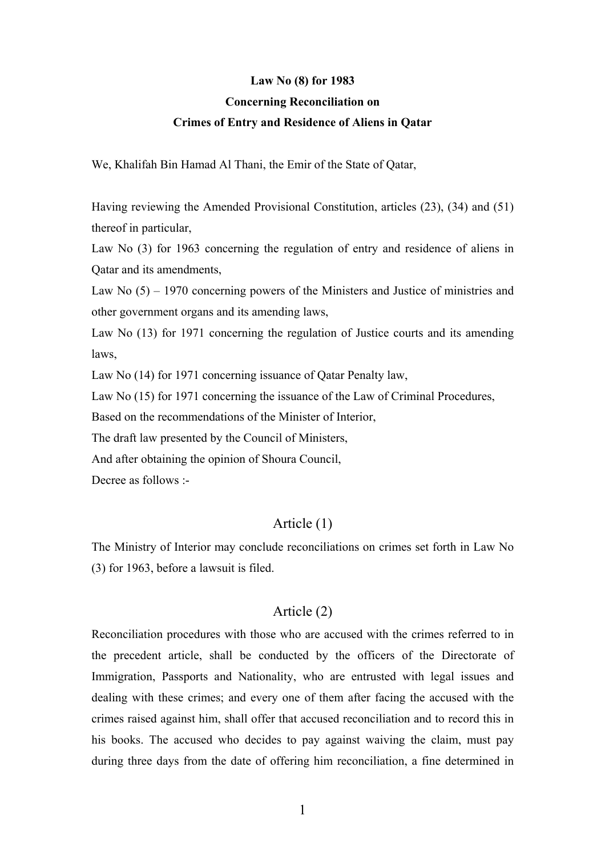#### **Law No (8) for 1983**

#### **Concerning Reconciliation on**

#### **Crimes of Entry and Residence of Aliens in Qatar**

We, Khalifah Bin Hamad Al Thani, the Emir of the State of Qatar,

Having reviewing the Amended Provisional Constitution, articles (23), (34) and (51) thereof in particular,

Law No (3) for 1963 concerning the regulation of entry and residence of aliens in Qatar and its amendments,

Law No (5) – 1970 concerning powers of the Ministers and Justice of ministries and other government organs and its amending laws,

Law No (13) for 1971 concerning the regulation of Justice courts and its amending laws,

Law No (14) for 1971 concerning issuance of Qatar Penalty law,

Law No (15) for 1971 concerning the issuance of the Law of Criminal Procedures,

Based on the recommendations of the Minister of Interior,

The draft law presented by the Council of Ministers,

And after obtaining the opinion of Shoura Council,

Decree as follows :-

## Article (1)

The Ministry of Interior may conclude reconciliations on crimes set forth in Law No (3) for 1963, before a lawsuit is filed.

#### Article (2)

Reconciliation procedures with those who are accused with the crimes referred to in the precedent article, shall be conducted by the officers of the Directorate of Immigration, Passports and Nationality, who are entrusted with legal issues and dealing with these crimes; and every one of them after facing the accused with the crimes raised against him, shall offer that accused reconciliation and to record this in his books. The accused who decides to pay against waiving the claim, must pay during three days from the date of offering him reconciliation, a fine determined in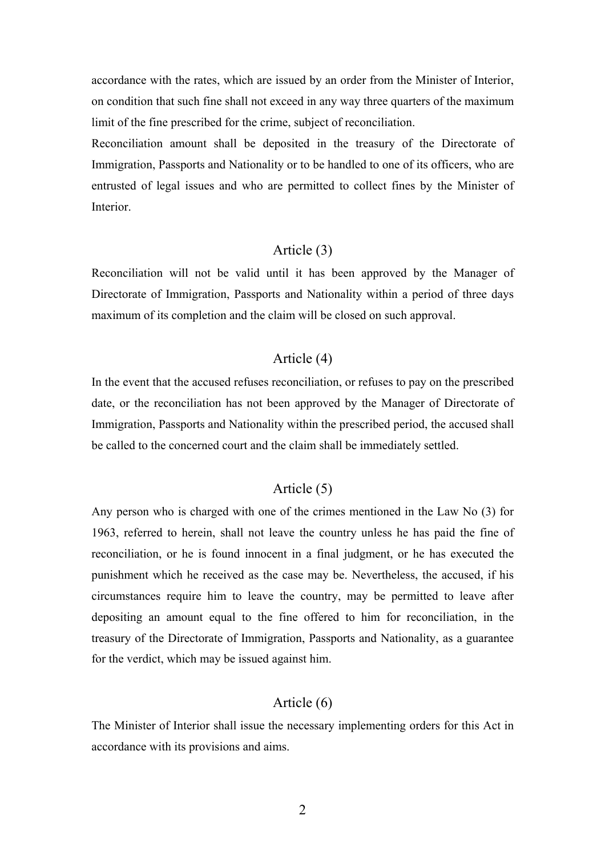accordance with the rates, which are issued by an order from the Minister of Interior, on condition that such fine shall not exceed in any way three quarters of the maximum limit of the fine prescribed for the crime, subject of reconciliation.

Reconciliation amount shall be deposited in the treasury of the Directorate of Immigration, Passports and Nationality or to be handled to one of its officers, who are entrusted of legal issues and who are permitted to collect fines by the Minister of Interior.

## Article (3)

Reconciliation will not be valid until it has been approved by the Manager of Directorate of Immigration, Passports and Nationality within a period of three days maximum of its completion and the claim will be closed on such approval.

## Article (4)

In the event that the accused refuses reconciliation, or refuses to pay on the prescribed date, or the reconciliation has not been approved by the Manager of Directorate of Immigration, Passports and Nationality within the prescribed period, the accused shall be called to the concerned court and the claim shall be immediately settled.

# Article (5)

Any person who is charged with one of the crimes mentioned in the Law No (3) for 1963, referred to herein, shall not leave the country unless he has paid the fine of reconciliation, or he is found innocent in a final judgment, or he has executed the punishment which he received as the case may be. Nevertheless, the accused, if his circumstances require him to leave the country, may be permitted to leave after depositing an amount equal to the fine offered to him for reconciliation, in the treasury of the Directorate of Immigration, Passports and Nationality, as a guarantee for the verdict, which may be issued against him.

## Article (6)

The Minister of Interior shall issue the necessary implementing orders for this Act in accordance with its provisions and aims.